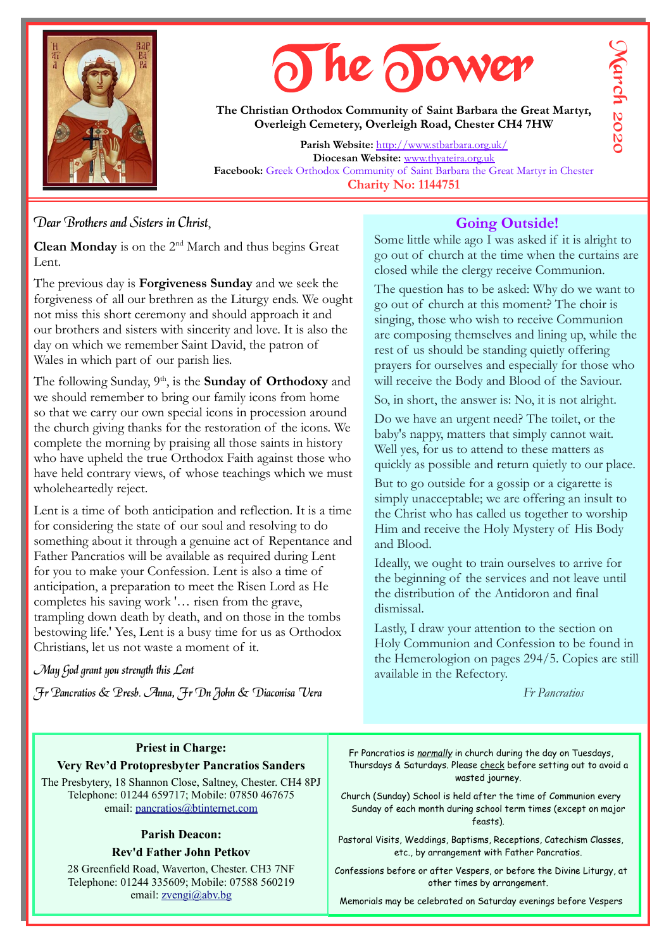

# The Tower

**The Christian Orthodox Community of Saint Barbara the Great Martyr, Overleigh Cemetery, Overleigh Road, Chester CH4 7HW**

**Parish Website:** <http://www.stbarbara.org.uk/> **Diocesan Website:** [www.thyateira.org.uk](http://www.thyateira.org.uk/) **Facebook:** Greek Orthodox Community of Saint Barbara the Great Martyr in Chester **Charity No: 1144751**

### Dear Brothers and Sisters in Christ,

**Clean Monday** is on the 2nd March and thus begins Great Lent.

The previous day is **Forgiveness Sunday** and we seek the forgiveness of all our brethren as the Liturgy ends. We ought not miss this short ceremony and should approach it and our brothers and sisters with sincerity and love. It is also the day on which we remember Saint David, the patron of Wales in which part of our parish lies.

The following Sunday, 9<sup>th</sup>, is the **Sunday of Orthodoxy** and we should remember to bring our family icons from home so that we carry our own special icons in procession around the church giving thanks for the restoration of the icons. We complete the morning by praising all those saints in history who have upheld the true Orthodox Faith against those who have held contrary views, of whose teachings which we must wholeheartedly reject.

Lent is a time of both anticipation and reflection. It is a time for considering the state of our soul and resolving to do something about it through a genuine act of Repentance and Father Pancratios will be available as required during Lent for you to make your Confession. Lent is also a time of anticipation, a preparation to meet the Risen Lord as He completes his saving work '… risen from the grave, trampling down death by death, and on those in the tombs bestowing life.' Yes, Lent is a busy time for us as Orthodox Christians, let us not waste a moment of it.

#### May God grant you strength this Lent

Fr Pancratios & Presb. Anna, Fr Dn John & Diaconisa Vera

# **Priest in Charge:**

#### **Very Rev'd Protopresbyter Pancratios Sanders**

The Presbytery, 18 Shannon Close, Saltney, Chester. CH4 8PJ Telephone: 01244 659717; Mobile: 07850 467675 email: [pancratios@btinternet.com](mailto:pancratios@btinternet.com)

# **Parish Deacon:**

#### **Rev'd Father John Petkov**

28 Greenfield Road, Waverton, Chester. CH3 7NF Telephone: 01244 335609; Mobile: 07588 560219 email: [zvengi@abv.bg](mailto:zvengi@abv.bg)

#### **Going Outside!**

Some little while ago I was asked if it is alright to go out of church at the time when the curtains are closed while the clergy receive Communion.

The question has to be asked: Why do we want to go out of church at this moment? The choir is singing, those who wish to receive Communion are composing themselves and lining up, while the rest of us should be standing quietly offering prayers for ourselves and especially for those who will receive the Body and Blood of the Saviour.

So, in short, the answer is: No, it is not alright.

Do we have an urgent need? The toilet, or the baby's nappy, matters that simply cannot wait. Well yes, for us to attend to these matters as quickly as possible and return quietly to our place.

But to go outside for a gossip or a cigarette is simply unacceptable; we are offering an insult to the Christ who has called us together to worship Him and receive the Holy Mystery of His Body and Blood.

Ideally, we ought to train ourselves to arrive for the beginning of the services and not leave until the distribution of the Antidoron and final dismissal.

Lastly, I draw your attention to the section on Holy Communion and Confession to be found in the Hemerologion on pages 294/5. Copies are still available in the Refectory.

 *Fr Pancratios*

Fr Pancratios is *normally* in church during the day on Tuesdays, Thursdays & Saturdays. Please check before setting out to avoid a wasted journey.

Church (Sunday) School is held after the time of Communion every Sunday of each month during school term times (except on major feasts).

Pastoral Visits, Weddings, Baptisms, Receptions, Catechism Classes, etc., by arrangement with Father Pancratios.

Confessions before or after Vespers, or before the Divine Liturgy, at other times by arrangement.

Memorials may be celebrated on Saturday evenings before Vespers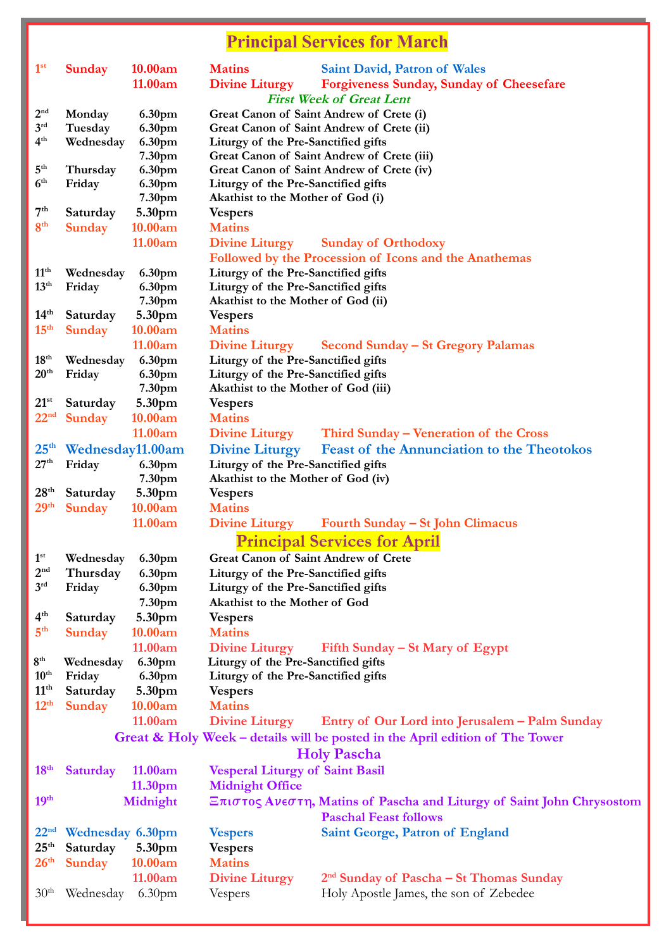# **Principal Services for March**

| 1 <sup>st</sup>                      | <b>Sunday</b>           | 10.00am            | <b>Matins</b>                                                              | <b>Saint David, Patron of Wales</b>                                          |  |  |
|--------------------------------------|-------------------------|--------------------|----------------------------------------------------------------------------|------------------------------------------------------------------------------|--|--|
|                                      |                         | 11.00am            | <b>Divine Liturgy</b>                                                      | <b>Forgiveness Sunday, Sunday of Cheesefare</b>                              |  |  |
|                                      |                         |                    |                                                                            | <b>First Week of Great Lent</b>                                              |  |  |
| 2 <sup>nd</sup>                      | Monday                  | 6.30pm             | Great Canon of Saint Andrew of Crete (i)                                   |                                                                              |  |  |
| 3 <sup>rd</sup>                      | Tuesday                 | 6.30pm             |                                                                            | Great Canon of Saint Andrew of Crete (ii)                                    |  |  |
| 4 <sup>th</sup>                      | Wednesday               | 6.30pm             | Liturgy of the Pre-Sanctified gifts                                        |                                                                              |  |  |
|                                      |                         | 7.30pm             |                                                                            | Great Canon of Saint Andrew of Crete (iii)                                   |  |  |
| 5 <sup>th</sup>                      | Thursday                | 6.30pm             | Great Canon of Saint Andrew of Crete (iv)                                  |                                                                              |  |  |
| 6 <sup>th</sup>                      | Friday                  | 6.30pm             | Liturgy of the Pre-Sanctified gifts                                        |                                                                              |  |  |
| $7^{\mathrm{th}}$                    |                         | 7.30pm             | Akathist to the Mother of God (i)                                          |                                                                              |  |  |
|                                      | Saturday                | 5.30pm             | <b>Vespers</b>                                                             |                                                                              |  |  |
| 8 <sup>th</sup>                      | Sunday                  | 10.00am            | <b>Matins</b>                                                              |                                                                              |  |  |
|                                      |                         | 11.00am            | <b>Divine Liturgy</b>                                                      | <b>Sunday of Orthodoxy</b>                                                   |  |  |
|                                      |                         |                    |                                                                            | Followed by the Procession of Icons and the Anathemas                        |  |  |
| 11 <sup>th</sup>                     | Wednesday               | 6.30pm             | Liturgy of the Pre-Sanctified gifts<br>Liturgy of the Pre-Sanctified gifts |                                                                              |  |  |
| 13 <sup>th</sup>                     | Friday                  | 6.30pm             |                                                                            |                                                                              |  |  |
| 14 <sup>th</sup>                     |                         | 7.30pm             | Akathist to the Mother of God (ii)                                         |                                                                              |  |  |
| 15 <sup>th</sup>                     | Saturday                | 5.30pm             | <b>Vespers</b>                                                             |                                                                              |  |  |
|                                      | <b>Sunday</b>           | 10.00am            | <b>Matins</b>                                                              |                                                                              |  |  |
|                                      |                         | 11.00am            | <b>Divine Liturgy</b>                                                      | Second Sunday – St Gregory Palamas                                           |  |  |
| $18^{\text{th}}$<br>20 <sup>th</sup> | Wednesday               | 6.30pm             | Liturgy of the Pre-Sanctified gifts                                        |                                                                              |  |  |
|                                      | Friday                  | 6.30pm<br>7.30pm   | Liturgy of the Pre-Sanctified gifts<br>Akathist to the Mother of God (iii) |                                                                              |  |  |
| $21^{st}$                            | Saturday                | 5.30pm             | <b>Vespers</b>                                                             |                                                                              |  |  |
| 22 <sup>nd</sup>                     | <b>Sunday</b>           | 10.00am            | <b>Matins</b>                                                              |                                                                              |  |  |
|                                      |                         | 11.00am            |                                                                            |                                                                              |  |  |
|                                      |                         |                    | <b>Divine Liturgy</b>                                                      | Third Sunday – Veneration of the Cross                                       |  |  |
| 25 <sup>th</sup>                     | Wednesday11.00am        |                    | <b>Divine Liturgy</b>                                                      | <b>Feast of the Annunciation to the Theotokos</b>                            |  |  |
| 27 <sup>th</sup>                     | Friday                  | 6.30pm             | Liturgy of the Pre-Sanctified gifts                                        |                                                                              |  |  |
| 28 <sup>th</sup>                     |                         | 7.30pm             | Akathist to the Mother of God (iv)                                         |                                                                              |  |  |
| 29 <sup>th</sup>                     | Saturday                | 5.30pm<br>10.00am  | <b>Vespers</b>                                                             |                                                                              |  |  |
|                                      | <b>Sunday</b>           | 11.00am            | <b>Matins</b>                                                              |                                                                              |  |  |
|                                      |                         |                    | <b>Divine Liturgy</b>                                                      | Fourth Sunday - St John Climacus                                             |  |  |
|                                      |                         |                    |                                                                            | <b>Principal Services for April</b>                                          |  |  |
| 1 <sup>st</sup>                      | Wednesday               | 6.30pm             |                                                                            | <b>Great Canon of Saint Andrew of Crete</b>                                  |  |  |
| 2 <sup>nd</sup>                      | Thursday                | 6.30pm             | Liturgy of the Pre-Sanctified gifts                                        |                                                                              |  |  |
| 3 <sup>rd</sup>                      | Friday                  | 6.30pm             | Liturgy of the Pre-Sanctified gifts                                        |                                                                              |  |  |
|                                      |                         | 7.30pm             | Akathist to the Mother of God                                              |                                                                              |  |  |
| 4 <sup>th</sup>                      | Saturday                | 5.30pm             | <b>Vespers</b>                                                             |                                                                              |  |  |
| 5 <sup>th</sup>                      | <b>Sunday</b>           | 10.00am            | <b>Matins</b>                                                              |                                                                              |  |  |
|                                      |                         | 11.00am            | <b>Divine Liturgy</b>                                                      | Fifth Sunday – St Mary of Egypt                                              |  |  |
| 8 <sup>th</sup>                      | Wednesday               | 6.30pm             | Liturgy of the Pre-Sanctified gifts                                        |                                                                              |  |  |
| $10^{\text{th}}$                     | Friday                  | 6.30pm             | Liturgy of the Pre-Sanctified gifts                                        |                                                                              |  |  |
| 11 <sup>th</sup>                     | Saturday                | 5.30pm             | <b>Vespers</b>                                                             |                                                                              |  |  |
| 12 <sup>th</sup>                     | Sunday                  | 10.00am            | <b>Matins</b>                                                              |                                                                              |  |  |
|                                      |                         | 11.00am            | <b>Divine Liturgy</b>                                                      | Entry of Our Lord into Jerusalem - Palm Sunday                               |  |  |
|                                      |                         |                    |                                                                            | Great & Holy Week – details will be posted in the April edition of The Tower |  |  |
|                                      |                         |                    |                                                                            | <b>Holy Pascha</b>                                                           |  |  |
| 18 <sup>th</sup>                     | <b>Saturday</b>         | 11.00am            | <b>Vesperal Liturgy of Saint Basil</b>                                     |                                                                              |  |  |
|                                      |                         | 11.30pm            | <b>Midnight Office</b>                                                     |                                                                              |  |  |
| 19 <sup>th</sup>                     |                         | Midnight           |                                                                            | Επιστος Ανεστη, Matins of Pascha and Liturgy of Saint John Chrysostom        |  |  |
|                                      |                         |                    |                                                                            | <b>Paschal Feast follows</b>                                                 |  |  |
| 22 <sup>nd</sup>                     | <b>Wednesday 6.30pm</b> |                    | <b>Vespers</b>                                                             | <b>Saint George, Patron of England</b>                                       |  |  |
| $25^{\text{th}}$                     | Saturday                | 5.30pm             | <b>Vespers</b>                                                             |                                                                              |  |  |
| 26 <sup>th</sup>                     | <b>Sunday</b>           | 10.00am            | <b>Matins</b>                                                              |                                                                              |  |  |
|                                      |                         | 11.00am            | <b>Divine Liturgy</b>                                                      | $2nd$ Sunday of Pascha – St Thomas Sunday                                    |  |  |
| 30 <sup>th</sup>                     |                         |                    |                                                                            |                                                                              |  |  |
|                                      | Wednesday               | 6.30 <sub>pm</sub> | Vespers                                                                    | Holy Apostle James, the son of Zebedee                                       |  |  |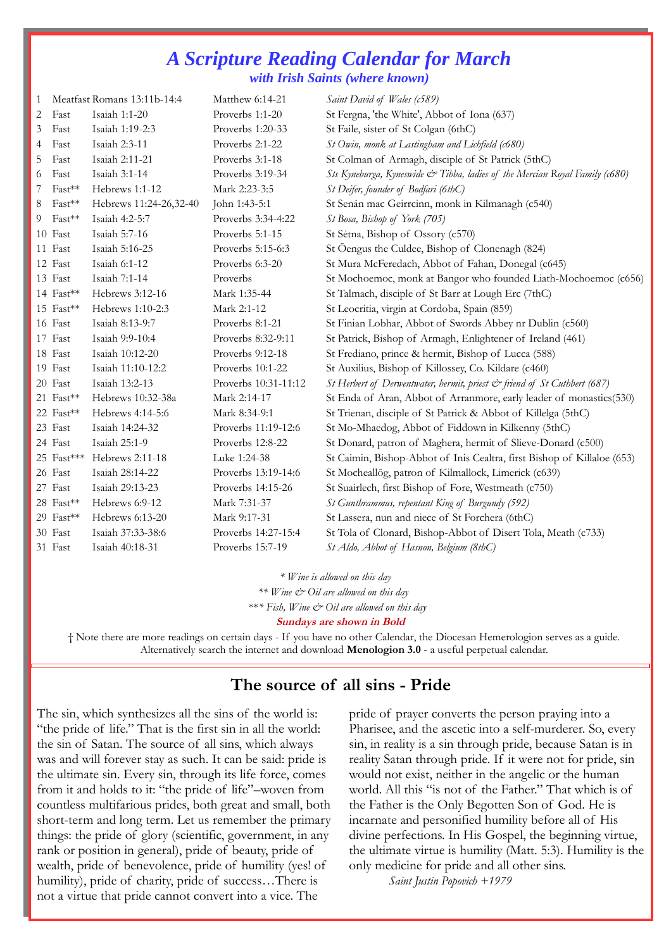# *A Scripture Reading Calendar for March with Irish Saints (where known)*

| 1 |                    | Meatfast Romans 13:11b-14:4 | Matthew 6:14-21      | Saint David of Wales (c589)                                                               |
|---|--------------------|-----------------------------|----------------------|-------------------------------------------------------------------------------------------|
| 2 | Fast               | Isaiah 1:1-20               | Proverbs 1:1-20      | St Fergna, 'the White', Abbot of Iona (637)                                               |
| 3 | Fast               | Isaiah 1:19-2:3             | Proverbs 1:20-33     | St Faile, sister of St Colgan (6thC)                                                      |
| 4 | Fast               | Isaiah 2:3-11               | Proverbs 2:1-22      | St Owin, monk at Lastingham and Lichfield (c680)                                          |
| 5 | Fast               | Isaiah 2:11-21              | Proverbs 3:1-18      | St Colman of Armagh, disciple of St Patrick (5thC)                                        |
| 6 | Fast               | Isaiah 3:1-14               | Proverbs 3:19-34     | Sts Kyneburga, Kyneswide $\mathcal{C}^*$ Tibba, ladies of the Mercian Royal Family (c680) |
| 7 | Fast <sup>**</sup> | Hebrews 1:1-12              | Mark 2:23-3:5        | St Deifer, founder of Bodfari (6thC)                                                      |
| 8 | Fast <sup>**</sup> | Hebrews 11:24-26,32-40      | John 1:43-5:1        | St Senán mac Geirrcinn, monk in Kilmanagh (c540)                                          |
| 9 | $Fast***$          | Isaiah 4:2-5:7              | Proverbs 3:34-4:22   | St Bosa, Bishop of York (705)                                                             |
|   | 10 Fast            | Isaiah 5:7-16               | Proverbs 5:1-15      | St Sėtna, Bishop of Ossory (c570)                                                         |
|   | 11 Fast            | Isaiah 5:16-25              | Proverbs 5:15-6:3    | St Ōengus the Culdee, Bishop of Clonenagh (824)                                           |
|   | 12 Fast            | Isaiah 6:1-12               | Proverbs 6:3-20      | St Mura McFeredach, Abbot of Fahan, Donegal (c645)                                        |
|   | 13 Fast            | Isaiah 7:1-14               | Proverbs             | St Mochoemoc, monk at Bangor who founded Liath-Mochoemoc (c656)                           |
|   | 14 Fast**          | Hebrews 3:12-16             | Mark 1:35-44         | St Talmach, disciple of St Barr at Lough Erc (7thC)                                       |
|   | 15 Fast**          | Hebrews 1:10-2:3            | Mark 2:1-12          | St Leocritia, virgin at Cordoba, Spain (859)                                              |
|   | 16 Fast            | Isaiah 8:13-9:7             | Proverbs 8:1-21      | St Finian Lobhar, Abbot of Swords Abbey nr Dublin (c560)                                  |
|   | 17 Fast            | Isaiah 9:9-10:4             | Proverbs 8:32-9:11   | St Patrick, Bishop of Armagh, Enlightener of Ireland (461)                                |
|   | 18 Fast            | Isaiah 10:12-20             | Proverbs 9:12-18     | St Frediano, prince & hermit, Bishop of Lucca (588)                                       |
|   | 19 Fast            | Isaiah 11:10-12:2           | Proverbs 10:1-22     | St Auxilius, Bishop of Killossey, Co. Kildare (c460)                                      |
|   | 20 Fast            | Isaiah 13:2-13              | Proverbs 10:31-11:12 | St Herbert of Derwentwater, hermit, priest & friend of St Cuthbert (687)                  |
|   | 21 $Fast**$        | Hebrews 10:32-38a           | Mark 2:14-17         | St Enda of Aran, Abbot of Arranmore, early leader of monastics(530)                       |
|   | 22 Fast**          | Hebrews 4:14-5:6            | Mark 8:34-9:1        | St Trienan, disciple of St Patrick & Abbot of Killelga (5thC)                             |
|   | 23 Fast            | Isaiah 14:24-32             | Proverbs 11:19-12:6  | St Mo-Mhaedog, Abbot of Fiddown in Kilkenny (5thC)                                        |
|   | 24 Fast            | Isaiah 25:1-9               | Proverbs 12:8-22     | St Donard, patron of Maghera, hermit of Slieve-Donard (c500)                              |
|   | 25 Fast***         | Hebrews 2:11-18             | Luke 1:24-38         | St Caimin, Bishop-Abbot of Inis Cealtra, first Bishop of Killaloe (653)                   |
|   | 26 Fast            | Isaiah 28:14-22             | Proverbs 13:19-14:6  | St Mocheallog, patron of Kilmallock, Limerick (c639)                                      |
|   | 27 Fast            | Isaiah 29:13-23             | Proverbs 14:15-26    | St Suairlech, first Bishop of Fore, Westmeath (c750)                                      |
|   | 28 Fast**          | Hebrews 6:9-12              | Mark 7:31-37         | St Gunthrammus, repentant King of Burgundy (592)                                          |
|   | 29 Fast**          | Hebrews 6:13-20             | Mark 9:17-31         | St Lassera, nun and niece of St Forchera (6thC)                                           |
|   | 30 Fast            | Isaiah 37:33-38:6           | Proverbs 14:27-15:4  | St Tola of Clonard, Bishop-Abbot of Disert Tola, Meath (c733)                             |
|   | 31 Fast            | Isaiah 40:18-31             | Proverbs 15:7-19     | St Aldo, Abbot of Hasnon, Belgium (8thC)                                                  |

*\* Wine is allowed on this day \*\* Wine & Oil are allowed on this day*  \*\**\* Fish, Wine & Oil are allowed on this day* 

**Sundays are shown in Bold**

† Note there are more readings on certain days - If you have no other Calendar, the Diocesan Hemerologion serves as a guide. Alternatively search the internet and download **Menologion 3.0** - a useful perpetual calendar.

# **The source of all sins - Pride**

The sin, which synthesizes all the sins of the world is: "the pride of life." That is the first sin in all the world: the sin of Satan. The source of all sins, which always was and will forever stay as such. It can be said: pride is the ultimate sin. Every sin, through its life force, comes from it and holds to it: "the pride of life"–woven from countless multifarious prides, both great and small, both short-term and long term. Let us remember the primary things: the pride of glory (scientific, government, in any rank or position in general), pride of beauty, pride of wealth, pride of benevolence, pride of humility (yes! of humility), pride of charity, pride of success…There is not a virtue that pride cannot convert into a vice. The

pride of prayer converts the person praying into a Pharisee, and the ascetic into a self-murderer. So, every sin, in reality is a sin through pride, because Satan is in reality Satan through pride. If it were not for pride, sin would not exist, neither in the angelic or the human world. All this "is not of the Father." That which is of the Father is the Only Begotten Son of God. He is incarnate and personified humility before all of His divine perfections. In His Gospel, the beginning virtue, the ultimate virtue is humility (Matt. 5:3). Humility is the only medicine for pride and all other sins.

*Saint Justin Popovich +1979*